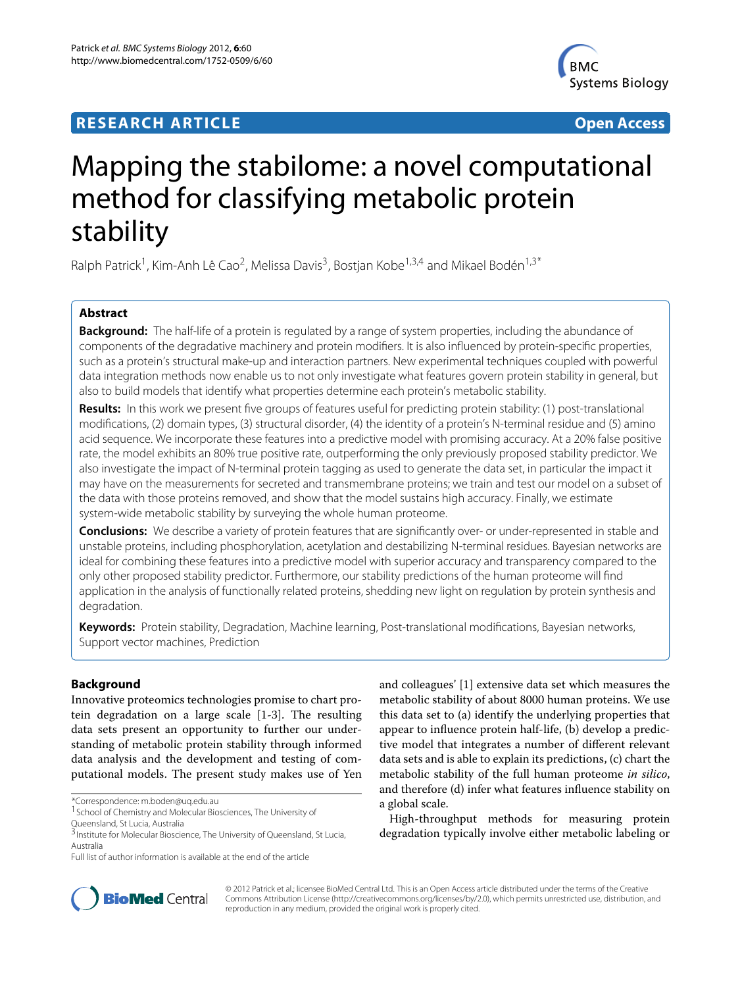## **RESEARCH ARTICLE Open Access**



# Mapping the stabilome: a novel computational method for classifying metabolic protein stability

Ralph Patrick<sup>1</sup>, Kim-Anh Lê Cao<sup>2</sup>, Melissa Davis<sup>3</sup>, Bostjan Kobe<sup>1,3,4</sup> and Mikael Bodén<sup>1,3\*</sup>

#### **Abstract**

**Background:** The half-life of a protein is regulated by a range of system properties, including the abundance of components of the degradative machinery and protein modifiers. It is also influenced by protein-specific properties, such as a protein's structural make-up and interaction partners. New experimental techniques coupled with powerful data integration methods now enable us to not only investigate what features govern protein stability in general, but also to build models that identify what properties determine each protein's metabolic stability.

**Results:** In this work we present five groups of features useful for predicting protein stability: (1) post-translational modifications, (2) domain types, (3) structural disorder, (4) the identity of a protein's N-terminal residue and (5) amino acid sequence. We incorporate these features into a predictive model with promising accuracy. At a 20% false positive rate, the model exhibits an 80% true positive rate, outperforming the only previously proposed stability predictor. We also investigate the impact of N-terminal protein tagging as used to generate the data set, in particular the impact it may have on the measurements for secreted and transmembrane proteins; we train and test our model on a subset of the data with those proteins removed, and show that the model sustains high accuracy. Finally, we estimate system-wide metabolic stability by surveying the whole human proteome.

**Conclusions:** We describe a variety of protein features that are significantly over- or under-represented in stable and unstable proteins, including phosphorylation, acetylation and destabilizing N-terminal residues. Bayesian networks are ideal for combining these features into a predictive model with superior accuracy and transparency compared to the only other proposed stability predictor. Furthermore, our stability predictions of the human proteome will find application in the analysis of functionally related proteins, shedding new light on regulation by protein synthesis and degradation.

**Keywords:** Protein stability, Degradation, Machine learning, Post-translational modifications, Bayesian networks, Support vector machines, Prediction

#### **Background**

Innovative proteomics technologies promise to chart protein degradation on a large scale [\[1-](#page-13-0)[3\]](#page-13-1). The resulting data sets present an opportunity to further our understanding of metabolic protein stability through informed data analysis and the development and testing of computational models. The present study makes use of Yen

\*Correspondence: m.boden@uq.edu.au

and colleagues' [\[1\]](#page-13-0) extensive data set which measures the metabolic stability of about 8000 human proteins. We use this data set to (a) identify the underlying properties that appear to influence protein half-life, (b) develop a predictive model that integrates a number of different relevant data sets and is able to explain its predictions, (c) chart the metabolic stability of the full human proteome *in silico*, and therefore (d) infer what features influence stability on a global scale.

High-throughput methods for measuring protein degradation typically involve either metabolic labeling or



© 2012 Patrick et al.; licensee BioMed Central Ltd. This is an Open Access article distributed under the terms of the Creative Commons Attribution License (http://creativecommons.org/licenses/by/2.0), which permits unrestricted use, distribution, and reproduction in any medium, provided the original work is properly cited.

<sup>&</sup>lt;sup>1</sup> School of Chemistry and Molecular Biosciences, The University of

Queensland, St Lucia, Australia<br><sup>3</sup> Institute for Molecular Bioscience, The University of Queensland, St Lucia, Australia

Full list of author information is available at the end of the article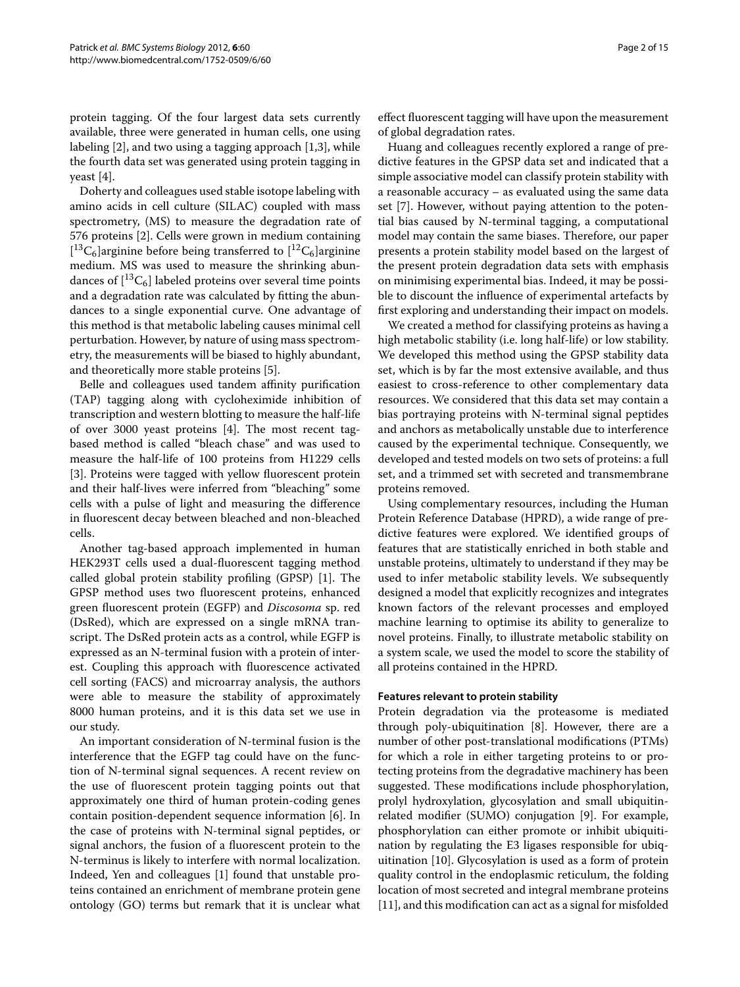protein tagging. Of the four largest data sets currently available, three were generated in human cells, one using labeling [\[2\]](#page-13-2), and two using a tagging approach [\[1](#page-13-0)[,3\]](#page-13-1), while the fourth data set was generated using protein tagging in yeast [\[4\]](#page-13-3).

Doherty and colleagues used stable isotope labeling with amino acids in cell culture (SILAC) coupled with mass spectrometry, (MS) to measure the degradation rate of 576 proteins [\[2\]](#page-13-2). Cells were grown in medium containing  $[{}^{13}C_6]$ arginine before being transferred to  $[{}^{12}C_6]$ arginine medium. MS was used to measure the shrinking abundances of  $\left[{}^{13}C_6\right]$  labeled proteins over several time points and a degradation rate was calculated by fitting the abundances to a single exponential curve. One advantage of this method is that metabolic labeling causes minimal cell perturbation. However, by nature of using mass spectrometry, the measurements will be biased to highly abundant, and theoretically more stable proteins [\[5\]](#page-13-4).

Belle and colleagues used tandem affinity purification (TAP) tagging along with cycloheximide inhibition of transcription and western blotting to measure the half-life of over 3000 yeast proteins [\[4\]](#page-13-3). The most recent tagbased method is called "bleach chase" and was used to measure the half-life of 100 proteins from H1229 cells [\[3\]](#page-13-1). Proteins were tagged with yellow fluorescent protein and their half-lives were inferred from "bleaching" some cells with a pulse of light and measuring the difference in fluorescent decay between bleached and non-bleached cells.

Another tag-based approach implemented in human HEK293T cells used a dual-fluorescent tagging method called global protein stability profiling (GPSP) [\[1\]](#page-13-0). The GPSP method uses two fluorescent proteins, enhanced green fluorescent protein (EGFP) and *Discosoma* sp. red (DsRed), which are expressed on a single mRNA transcript. The DsRed protein acts as a control, while EGFP is expressed as an N-terminal fusion with a protein of interest. Coupling this approach with fluorescence activated cell sorting (FACS) and microarray analysis, the authors were able to measure the stability of approximately 8000 human proteins, and it is this data set we use in our study.

An important consideration of N-terminal fusion is the interference that the EGFP tag could have on the function of N-terminal signal sequences. A recent review on the use of fluorescent protein tagging points out that approximately one third of human protein-coding genes contain position-dependent sequence information [\[6\]](#page-13-5). In the case of proteins with N-terminal signal peptides, or signal anchors, the fusion of a fluorescent protein to the N-terminus is likely to interfere with normal localization. Indeed, Yen and colleagues [\[1\]](#page-13-0) found that unstable proteins contained an enrichment of membrane protein gene ontology (GO) terms but remark that it is unclear what

effect fluorescent tagging will have upon the measurement of global degradation rates.

Huang and colleagues recently explored a range of predictive features in the GPSP data set and indicated that a simple associative model can classify protein stability with a reasonable accuracy – as evaluated using the same data set [\[7\]](#page-13-6). However, without paying attention to the potential bias caused by N-terminal tagging, a computational model may contain the same biases. Therefore, our paper presents a protein stability model based on the largest of the present protein degradation data sets with emphasis on minimising experimental bias. Indeed, it may be possible to discount the influence of experimental artefacts by first exploring and understanding their impact on models.

We created a method for classifying proteins as having a high metabolic stability (i.e. long half-life) or low stability. We developed this method using the GPSP stability data set, which is by far the most extensive available, and thus easiest to cross-reference to other complementary data resources. We considered that this data set may contain a bias portraying proteins with N-terminal signal peptides and anchors as metabolically unstable due to interference caused by the experimental technique. Consequently, we developed and tested models on two sets of proteins: a full set, and a trimmed set with secreted and transmembrane proteins removed.

Using complementary resources, including the Human Protein Reference Database (HPRD), a wide range of predictive features were explored. We identified groups of features that are statistically enriched in both stable and unstable proteins, ultimately to understand if they may be used to infer metabolic stability levels. We subsequently designed a model that explicitly recognizes and integrates known factors of the relevant processes and employed machine learning to optimise its ability to generalize to novel proteins. Finally, to illustrate metabolic stability on a system scale, we used the model to score the stability of all proteins contained in the HPRD.

#### **Features relevant to protein stability**

Protein degradation via the proteasome is mediated through poly-ubiquitination [\[8\]](#page-13-7). However, there are a number of other post-translational modifications (PTMs) for which a role in either targeting proteins to or protecting proteins from the degradative machinery has been suggested. These modifications include phosphorylation, prolyl hydroxylation, glycosylation and small ubiquitinrelated modifier (SUMO) conjugation [\[9\]](#page-13-8). For example, phosphorylation can either promote or inhibit ubiquitination by regulating the E3 ligases responsible for ubiquitination [\[10\]](#page-13-9). Glycosylation is used as a form of protein quality control in the endoplasmic reticulum, the folding location of most secreted and integral membrane proteins [\[11\]](#page-13-10), and this modification can act as a signal for misfolded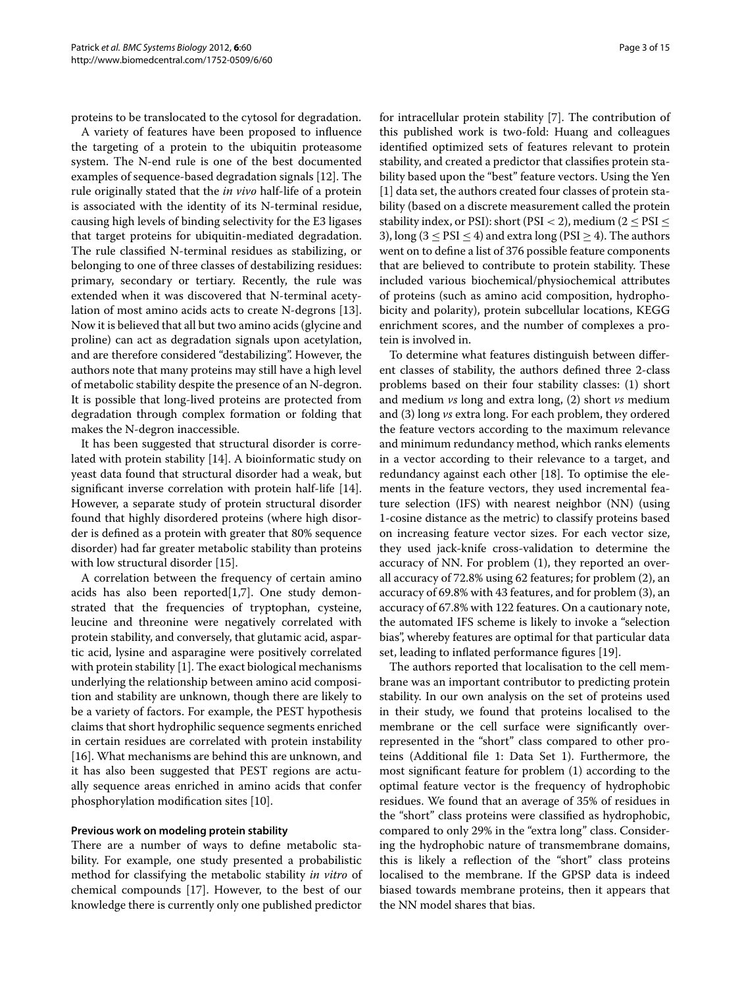proteins to be translocated to the cytosol for degradation.

A variety of features have been proposed to influence the targeting of a protein to the ubiquitin proteasome system. The N-end rule is one of the best documented examples of sequence-based degradation signals [\[12\]](#page-14-0). The rule originally stated that the *in vivo* half-life of a protein is associated with the identity of its N-terminal residue, causing high levels of binding selectivity for the E3 ligases that target proteins for ubiquitin-mediated degradation. The rule classified N-terminal residues as stabilizing, or belonging to one of three classes of destabilizing residues: primary, secondary or tertiary. Recently, the rule was extended when it was discovered that N-terminal acetylation of most amino acids acts to create N-degrons [\[13\]](#page-14-1). Now it is believed that all but two amino acids (glycine and proline) can act as degradation signals upon acetylation, and are therefore considered "destabilizing". However, the authors note that many proteins may still have a high level of metabolic stability despite the presence of an N-degron. It is possible that long-lived proteins are protected from degradation through complex formation or folding that makes the N-degron inaccessible.

It has been suggested that structural disorder is correlated with protein stability [\[14\]](#page-14-2). A bioinformatic study on yeast data found that structural disorder had a weak, but significant inverse correlation with protein half-life [\[14\]](#page-14-2). However, a separate study of protein structural disorder found that highly disordered proteins (where high disorder is defined as a protein with greater that 80% sequence disorder) had far greater metabolic stability than proteins with low structural disorder [\[15\]](#page-14-3).

A correlation between the frequency of certain amino acids has also been reported[\[1,](#page-13-0)[7\]](#page-13-6). One study demonstrated that the frequencies of tryptophan, cysteine, leucine and threonine were negatively correlated with protein stability, and conversely, that glutamic acid, aspartic acid, lysine and asparagine were positively correlated with protein stability [\[1\]](#page-13-0). The exact biological mechanisms underlying the relationship between amino acid composition and stability are unknown, though there are likely to be a variety of factors. For example, the PEST hypothesis claims that short hydrophilic sequence segments enriched in certain residues are correlated with protein instability [\[16\]](#page-14-4). What mechanisms are behind this are unknown, and it has also been suggested that PEST regions are actually sequence areas enriched in amino acids that confer phosphorylation modification sites [\[10\]](#page-13-9).

#### **Previous work on modeling protein stability**

There are a number of ways to define metabolic stability. For example, one study presented a probabilistic method for classifying the metabolic stability *in vitro* of chemical compounds [\[17\]](#page-14-5). However, to the best of our knowledge there is currently only one published predictor

for intracellular protein stability [\[7\]](#page-13-6). The contribution of this published work is two-fold: Huang and colleagues identified optimized sets of features relevant to protein stability, and created a predictor that classifies protein stability based upon the "best" feature vectors. Using the Yen [\[1\]](#page-13-0) data set, the authors created four classes of protein stability (based on a discrete measurement called the protein stability index, or PSI): short (PSI *<* 2), medium (2 ≤ PSI ≤ 3), long  $(3 < PSI < 4)$  and extra long  $(PSI > 4)$ . The authors went on to define a list of 376 possible feature components that are believed to contribute to protein stability. These included various biochemical/physiochemical attributes of proteins (such as amino acid composition, hydrophobicity and polarity), protein subcellular locations, KEGG enrichment scores, and the number of complexes a protein is involved in.

To determine what features distinguish between different classes of stability, the authors defined three 2-class problems based on their four stability classes: (1) short and medium *vs* long and extra long, (2) short *vs* medium and (3) long *vs* extra long. For each problem, they ordered the feature vectors according to the maximum relevance and minimum redundancy method, which ranks elements in a vector according to their relevance to a target, and redundancy against each other [\[18\]](#page-14-6). To optimise the elements in the feature vectors, they used incremental feature selection (IFS) with nearest neighbor (NN) (using 1-cosine distance as the metric) to classify proteins based on increasing feature vector sizes. For each vector size, they used jack-knife cross-validation to determine the accuracy of NN. For problem (1), they reported an overall accuracy of 72.8% using 62 features; for problem (2), an accuracy of 69.8% with 43 features, and for problem (3), an accuracy of 67.8% with 122 features. On a cautionary note, the automated IFS scheme is likely to invoke a "selection bias", whereby features are optimal for that particular data set, leading to inflated performance figures [\[19\]](#page-14-7).

The authors reported that localisation to the cell membrane was an important contributor to predicting protein stability. In our own analysis on the set of proteins used in their study, we found that proteins localised to the membrane or the cell surface were significantly overrepresented in the "short" class compared to other proteins (Additional file [1:](#page-13-11) Data Set 1). Furthermore, the most significant feature for problem (1) according to the optimal feature vector is the frequency of hydrophobic residues. We found that an average of 35% of residues in the "short" class proteins were classified as hydrophobic, compared to only 29% in the "extra long" class. Considering the hydrophobic nature of transmembrane domains, this is likely a reflection of the "short" class proteins localised to the membrane. If the GPSP data is indeed biased towards membrane proteins, then it appears that the NN model shares that bias.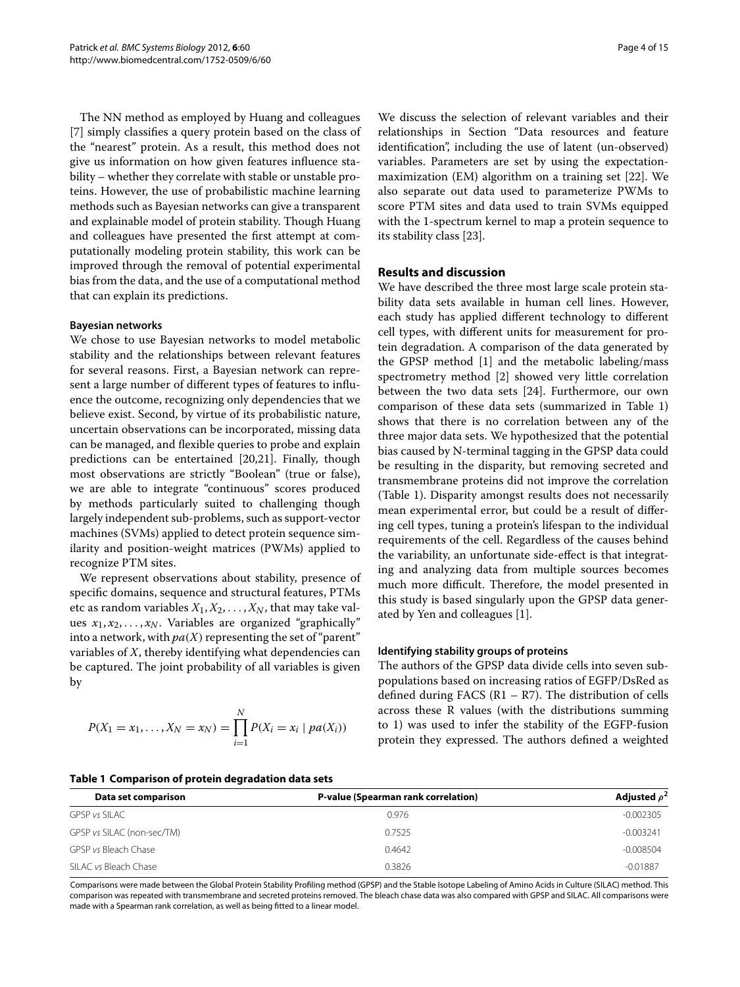The NN method as employed by Huang and colleagues [\[7\]](#page-13-6) simply classifies a query protein based on the class of the "nearest" protein. As a result, this method does not give us information on how given features influence stability – whether they correlate with stable or unstable proteins. However, the use of probabilistic machine learning methods such as Bayesian networks can give a transparent and explainable model of protein stability. Though Huang and colleagues have presented the first attempt at computationally modeling protein stability, this work can be improved through the removal of potential experimental bias from the data, and the use of a computational method that can explain its predictions.

#### **Bayesian networks**

We chose to use Bayesian networks to model metabolic stability and the relationships between relevant features for several reasons. First, a Bayesian network can represent a large number of different types of features to influence the outcome, recognizing only dependencies that we believe exist. Second, by virtue of its probabilistic nature, uncertain observations can be incorporated, missing data can be managed, and flexible queries to probe and explain predictions can be entertained [\[20](#page-14-8)[,21\]](#page-14-9). Finally, though most observations are strictly "Boolean" (true or false), we are able to integrate "continuous" scores produced by methods particularly suited to challenging though largely independent sub-problems, such as support-vector machines (SVMs) applied to detect protein sequence similarity and position-weight matrices (PWMs) applied to recognize PTM sites.

We represent observations about stability, presence of specific domains, sequence and structural features, PTMs etc as random variables  $X_1, X_2, \ldots, X_N$ , that may take values  $x_1, x_2, \ldots, x_N$ . Variables are organized "graphically" into a network, with  $pa(X)$  representing the set of "parent" variables of *X*, thereby identifying what dependencies can be captured. The joint probability of all variables is given by

$$
P(X_1 = x_1, ..., X_N = x_N) = \prod_{i=1}^{N} P(X_i = x_i \mid pa(X_i))
$$

#### **Table 1 Comparison of protein degradation data sets**

We discuss the selection of relevant variables and their relationships in Section "Data resources and feature identification", including the use of latent (un-observed) variables. Parameters are set by using the expectationmaximization (EM) algorithm on a training set [\[22\]](#page-14-10). We also separate out data used to parameterize PWMs to score PTM sites and data used to train SVMs equipped with the 1-spectrum kernel to map a protein sequence to its stability class [\[23\]](#page-14-11).

#### **Results and discussion**

We have described the three most large scale protein stability data sets available in human cell lines. However, each study has applied different technology to different cell types, with different units for measurement for protein degradation. A comparison of the data generated by the GPSP method [\[1\]](#page-13-0) and the metabolic labeling/mass spectrometry method [\[2\]](#page-13-2) showed very little correlation between the two data sets [\[24\]](#page-14-12). Furthermore, our own comparison of these data sets (summarized in Table [1\)](#page-3-0) shows that there is no correlation between any of the three major data sets. We hypothesized that the potential bias caused by N-terminal tagging in the GPSP data could be resulting in the disparity, but removing secreted and transmembrane proteins did not improve the correlation (Table [1\)](#page-3-0). Disparity amongst results does not necessarily mean experimental error, but could be a result of differing cell types, tuning a protein's lifespan to the individual requirements of the cell. Regardless of the causes behind the variability, an unfortunate side-effect is that integrating and analyzing data from multiple sources becomes much more difficult. Therefore, the model presented in this study is based singularly upon the GPSP data generated by Yen and colleagues [\[1\]](#page-13-0).

#### **Identifying stability groups of proteins**

The authors of the GPSP data divide cells into seven subpopulations based on increasing ratios of EGFP/DsRed as defined during FACS ( $R1 - R7$ ). The distribution of cells across these R values (with the distributions summing to 1) was used to infer the stability of the EGFP-fusion protein they expressed. The authors defined a weighted

<span id="page-3-0"></span>

| Data set comparison        | <b>P-value (Spearman rank correlation)</b> | Adjusted $\rho^2$ |  |
|----------------------------|--------------------------------------------|-------------------|--|
| <b>GPSP vs SILAC</b>       | 0.976                                      | $-0.002305$       |  |
| GPSP vs SILAC (non-sec/TM) | 0.7525                                     | $-0.003241$       |  |
| GPSP vs Bleach Chase       | 0.4642                                     | $-0.008504$       |  |
| SILAC vs Bleach Chase      | 0.3826                                     | $-0.01887$        |  |

Comparisons were made between the Global Protein Stability Profiling method (GPSP) and the Stable Isotope Labeling of Amino Acids in Culture (SILAC) method. This comparison was repeated with transmembrane and secreted proteins removed. The bleach chase data was also compared with GPSP and SILAC. All comparisons were made with a Spearman rank correlation, as well as being fitted to a linear model.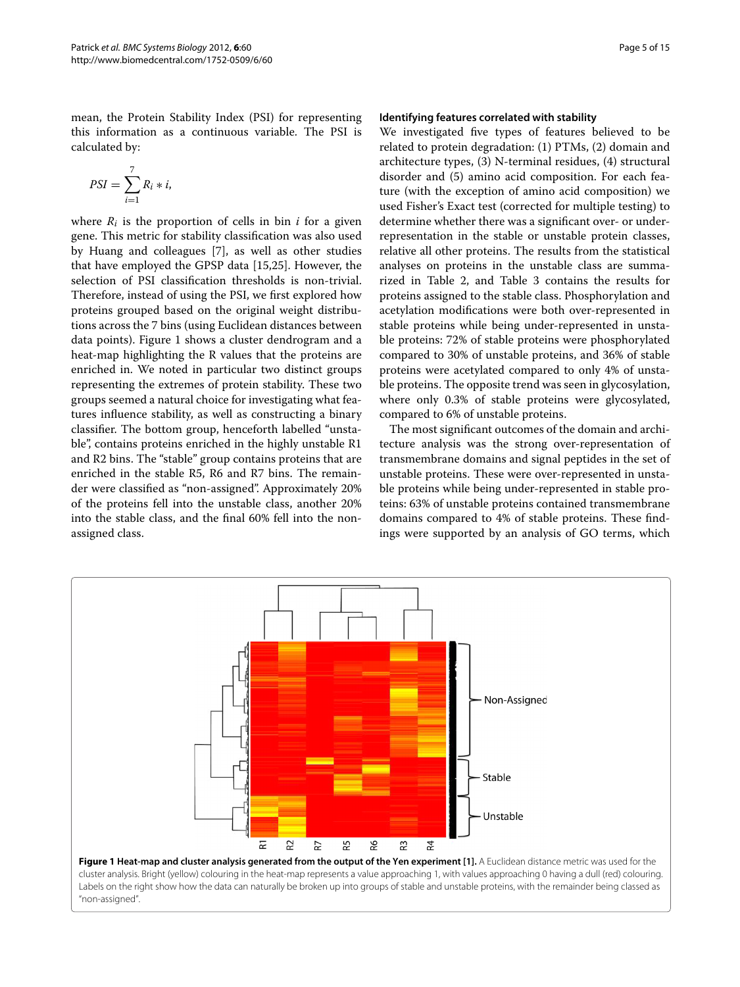mean, the Protein Stability Index (PSI) for representing this information as a continuous variable. The PSI is calculated by:

$$
PSI = \sum_{i=1}^{7} R_i * i,
$$

where  $R_i$  is the proportion of cells in bin  $i$  for a given gene. This metric for stability classification was also used by Huang and colleagues [\[7\]](#page-13-6), as well as other studies that have employed the GPSP data [\[15](#page-14-3)[,25\]](#page-14-13). However, the selection of PSI classification thresholds is non-trivial. Therefore, instead of using the PSI, we first explored how proteins grouped based on the original weight distributions across the 7 bins (using Euclidean distances between data points). Figure [1](#page-4-0) shows a cluster dendrogram and a heat-map highlighting the R values that the proteins are enriched in. We noted in particular two distinct groups representing the extremes of protein stability. These two groups seemed a natural choice for investigating what features influence stability, as well as constructing a binary classifier. The bottom group, henceforth labelled "unstable", contains proteins enriched in the highly unstable R1 and R2 bins. The "stable" group contains proteins that are enriched in the stable R5, R6 and R7 bins. The remainder were classified as "non-assigned". Approximately 20% of the proteins fell into the unstable class, another 20% into the stable class, and the final 60% fell into the nonassigned class.

#### **Identifying features correlated with stability**

We investigated five types of features believed to be related to protein degradation: (1) PTMs, (2) domain and architecture types, (3) N-terminal residues, (4) structural disorder and (5) amino acid composition. For each feature (with the exception of amino acid composition) we used Fisher's Exact test (corrected for multiple testing) to determine whether there was a significant over- or underrepresentation in the stable or unstable protein classes, relative all other proteins. The results from the statistical analyses on proteins in the unstable class are summarized in Table [2,](#page-5-0) and Table [3](#page-5-1) contains the results for proteins assigned to the stable class. Phosphorylation and acetylation modifications were both over-represented in stable proteins while being under-represented in unstable proteins: 72% of stable proteins were phosphorylated compared to 30% of unstable proteins, and 36% of stable proteins were acetylated compared to only 4% of unstable proteins. The opposite trend was seen in glycosylation, where only 0.3% of stable proteins were glycosylated, compared to 6% of unstable proteins.

The most significant outcomes of the domain and architecture analysis was the strong over-representation of transmembrane domains and signal peptides in the set of unstable proteins. These were over-represented in unstable proteins while being under-represented in stable proteins: 63% of unstable proteins contained transmembrane domains compared to 4% of stable proteins. These findings were supported by an analysis of GO terms, which

<span id="page-4-0"></span>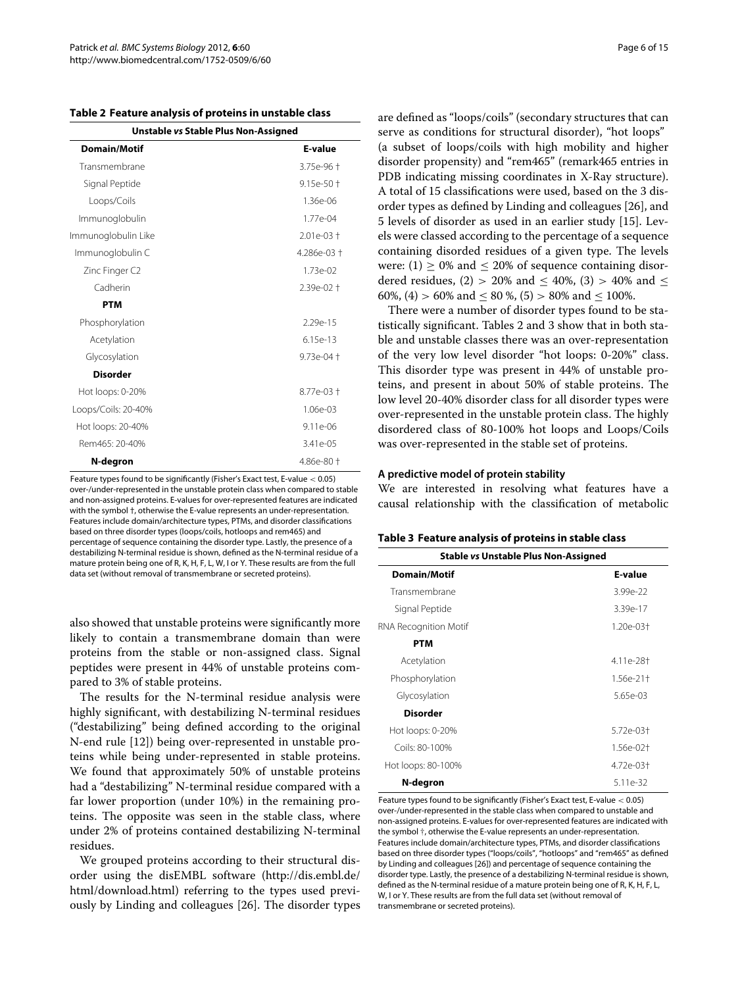<span id="page-5-0"></span>

| Unstable vs Stable Plus Non-Assigned |                        |  |  |  |
|--------------------------------------|------------------------|--|--|--|
| <b>Domain/Motif</b>                  | E-value                |  |  |  |
| Transmembrane                        | 3.75e-96 t             |  |  |  |
| Signal Peptide                       | $9.15e-50$ †           |  |  |  |
| Loops/Coils                          | $1.36e-06$             |  |  |  |
| Immunoglobulin                       | 1.77e-04               |  |  |  |
| Immunoglobulin Like                  | $2.01e-03$ †           |  |  |  |
| Immunoglobulin C                     | 4.286e-03 <sup>+</sup> |  |  |  |
| Zinc Finger C2                       | 1.73e-02               |  |  |  |
| Cadherin                             | $2.39e-02$ †           |  |  |  |
| <b>PTM</b>                           |                        |  |  |  |
| Phosphorylation                      | 2.29e-15               |  |  |  |
| Acetylation                          | 6.15e-13               |  |  |  |
| Glycosylation                        | 9.73e-04 t             |  |  |  |
| <b>Disorder</b>                      |                        |  |  |  |
| Hot loops: 0-20%                     | 8.77e-03 t             |  |  |  |
| Loops/Coils: 20-40%                  | 1.06e-03               |  |  |  |
| Hot loops: 20-40%                    | 9.11e-06               |  |  |  |
| Rem465: 20-40%                       | 3.41e-05               |  |  |  |
| N-degron                             | 4.86e-80 <sup>+</sup>  |  |  |  |

Feature types found to be significantly (Fisher's Exact test, E-value *<* 0.05) over-/under-represented in the unstable protein class when compared to stable and non-assigned proteins. E-values for over-represented features are indicated with the symbol  $\dagger$ , otherwise the E-value represents an under-representation. Features include domain/architecture types, PTMs, and disorder classifications based on three disorder types (loops/coils, hotloops and rem465) and percentage of sequence containing the disorder type. Lastly, the presence of a destabilizing N-terminal residue is shown, defined as the N-terminal residue of a mature protein being one of R, K, H, F, L, W, I or Y. These results are from the full data set (without removal of transmembrane or secreted proteins).

also showed that unstable proteins were significantly more likely to contain a transmembrane domain than were proteins from the stable or non-assigned class. Signal peptides were present in 44% of unstable proteins compared to 3% of stable proteins.

The results for the N-terminal residue analysis were highly significant, with destabilizing N-terminal residues ("destabilizing" being defined according to the original N-end rule [\[12\]](#page-14-0)) being over-represented in unstable proteins while being under-represented in stable proteins. We found that approximately 50% of unstable proteins had a "destabilizing" N-terminal residue compared with a far lower proportion (under 10%) in the remaining proteins. The opposite was seen in the stable class, where under 2% of proteins contained destabilizing N-terminal residues.

We grouped proteins according to their structural disorder using the disEMBL software [\(http://dis.embl.de/](http://dis.embl.de/html/download.html) [html/download.html\)](http://dis.embl.de/html/download.html) referring to the types used previously by Linding and colleagues [\[26\]](#page-14-14). The disorder types are defined as "loops/coils" (secondary structures that can serve as conditions for structural disorder), "hot loops" (a subset of loops/coils with high mobility and higher disorder propensity) and "rem465" (remark465 entries in PDB indicating missing coordinates in X-Ray structure). A total of 15 classifications were used, based on the 3 disorder types as defined by Linding and colleagues [\[26\]](#page-14-14), and 5 levels of disorder as used in an earlier study [\[15\]](#page-14-3). Levels were classed according to the percentage of a sequence containing disorded residues of a given type. The levels were:  $(1) > 0\%$  and  $\lt 20\%$  of sequence containing disordered residues,  $(2) > 20\%$  and  $\lt 40\%$ ,  $(3) > 40\%$  and  $\lt$ 60%, (4)  $> 60\%$  and  $< 80\%$ , (5)  $> 80\%$  and  $< 100\%$ .

There were a number of disorder types found to be statistically significant. Tables [2](#page-5-0) and [3](#page-5-1) show that in both stable and unstable classes there was an over-representation of the very low level disorder "hot loops: 0-20%" class. This disorder type was present in 44% of unstable proteins, and present in about 50% of stable proteins. The low level 20-40% disorder class for all disorder types were over-represented in the unstable protein class. The highly disordered class of 80-100% hot loops and Loops/Coils was over-represented in the stable set of proteins.

#### **A predictive model of protein stability**

We are interested in resolving what features have a causal relationship with the classification of metabolic

<span id="page-5-1"></span>

| <b>Stable vs Unstable Plus Non-Assigned</b> |                       |  |  |  |  |
|---------------------------------------------|-----------------------|--|--|--|--|
| <b>Domain/Motif</b>                         | E-value               |  |  |  |  |
| Transmembrane                               | 3.99e-22              |  |  |  |  |
| Signal Peptide                              | 3.39e-17              |  |  |  |  |
| RNA Recognition Motif                       | 1.20e-03†             |  |  |  |  |
| PTM                                         |                       |  |  |  |  |
| Acetylation                                 | 4.11e-28 <sup>+</sup> |  |  |  |  |
| Phosphorylation                             | 1.56e-21 <sup>+</sup> |  |  |  |  |
| Glycosylation                               | 5.65e-03              |  |  |  |  |
| <b>Disorder</b>                             |                       |  |  |  |  |
| Hot loops: 0-20%                            | 5.72e-03†             |  |  |  |  |
| Coils: 80-100%                              | 1.56e-02 <sup>+</sup> |  |  |  |  |
| Hot loops: 80-100%                          | 4.72e-03 <sup>+</sup> |  |  |  |  |
| N-degron                                    | 5.11e-32              |  |  |  |  |

Feature types found to be significantly (Fisher's Exact test, E-value *<* 0.05) over-/under-represented in the stable class when compared to unstable and non-assigned proteins. E-values for over-represented features are indicated with the symbol †, otherwise the E-value represents an under-representation. Features include domain/architecture types, PTMs, and disorder classifications based on three disorder types ("loops/coils", "hotloops" and "rem465" as defined by Linding and colleagues [\[26\]](#page-14-14)) and percentage of sequence containing the disorder type. Lastly, the presence of a destabilizing N-terminal residue is shown, defined as the N-terminal residue of a mature protein being one of R, K, H, F, L, W, I or Y. These results are from the full data set (without removal of transmembrane or secreted proteins).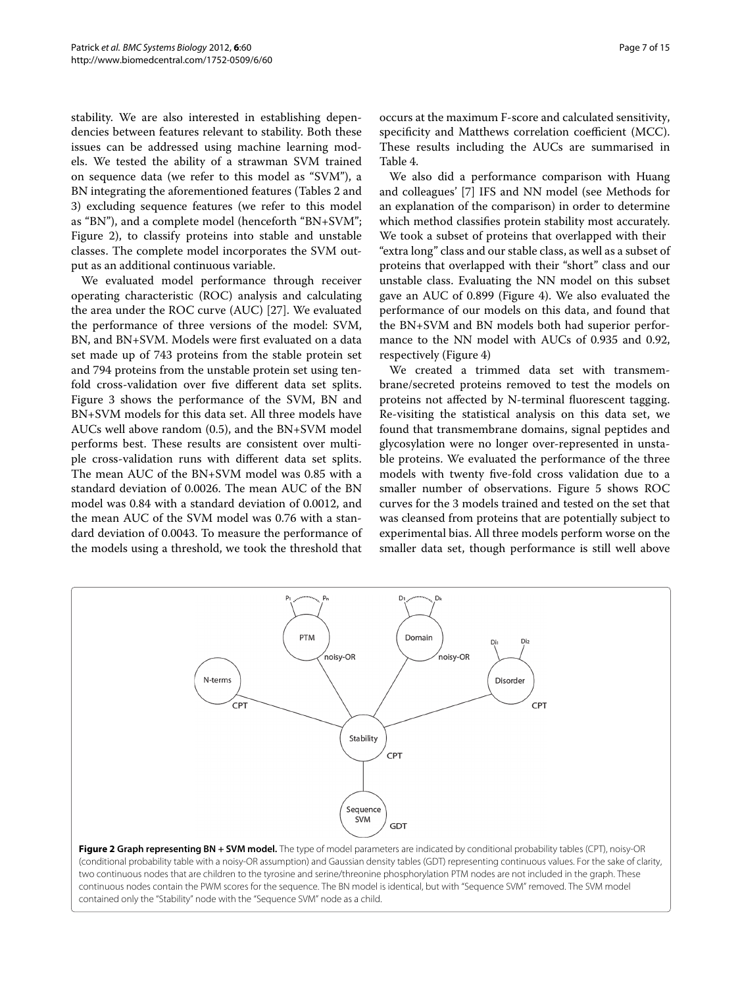stability. We are also interested in establishing dependencies between features relevant to stability. Both these issues can be addressed using machine learning models. We tested the ability of a strawman SVM trained on sequence data (we refer to this model as "SVM"), a BN integrating the aforementioned features (Tables [2](#page-5-0) and [3\)](#page-5-1) excluding sequence features (we refer to this model as "BN"), and a complete model (henceforth "BN+SVM"; Figure [2\)](#page-6-0), to classify proteins into stable and unstable classes. The complete model incorporates the SVM output as an additional continuous variable.

We evaluated model performance through receiver operating characteristic (ROC) analysis and calculating the area under the ROC curve (AUC) [\[27\]](#page-14-15). We evaluated the performance of three versions of the model: SVM, BN, and BN+SVM. Models were first evaluated on a data set made up of 743 proteins from the stable protein set and 794 proteins from the unstable protein set using tenfold cross-validation over five different data set splits. Figure [3](#page-7-0) shows the performance of the SVM, BN and BN+SVM models for this data set. All three models have AUCs well above random (0.5), and the BN+SVM model performs best. These results are consistent over multiple cross-validation runs with different data set splits. The mean AUC of the BN+SVM model was 0.85 with a standard deviation of 0.0026. The mean AUC of the BN model was 0.84 with a standard deviation of 0.0012, and the mean AUC of the SVM model was 0.76 with a standard deviation of 0.0043. To measure the performance of the models using a threshold, we took the threshold that

occurs at the maximum F-score and calculated sensitivity, specificity and Matthews correlation coefficient (MCC). These results including the AUCs are summarised in Table [4.](#page-7-1)

We also did a performance comparison with Huang and colleagues' [\[7\]](#page-13-6) IFS and NN model (see Methods for an explanation of the comparison) in order to determine which method classifies protein stability most accurately. We took a subset of proteins that overlapped with their "extra long" class and our stable class, as well as a subset of proteins that overlapped with their "short" class and our unstable class. Evaluating the NN model on this subset gave an AUC of 0.899 (Figure [4\)](#page-8-0). We also evaluated the performance of our models on this data, and found that the BN+SVM and BN models both had superior performance to the NN model with AUCs of 0.935 and 0.92, respectively (Figure [4\)](#page-8-0)

We created a trimmed data set with transmembrane/secreted proteins removed to test the models on proteins not affected by N-terminal fluorescent tagging. Re-visiting the statistical analysis on this data set, we found that transmembrane domains, signal peptides and glycosylation were no longer over-represented in unstable proteins. We evaluated the performance of the three models with twenty five-fold cross validation due to a smaller number of observations. Figure [5](#page-8-1) shows ROC curves for the 3 models trained and tested on the set that was cleansed from proteins that are potentially subject to experimental bias. All three models perform worse on the smaller data set, though performance is still well above

<span id="page-6-0"></span>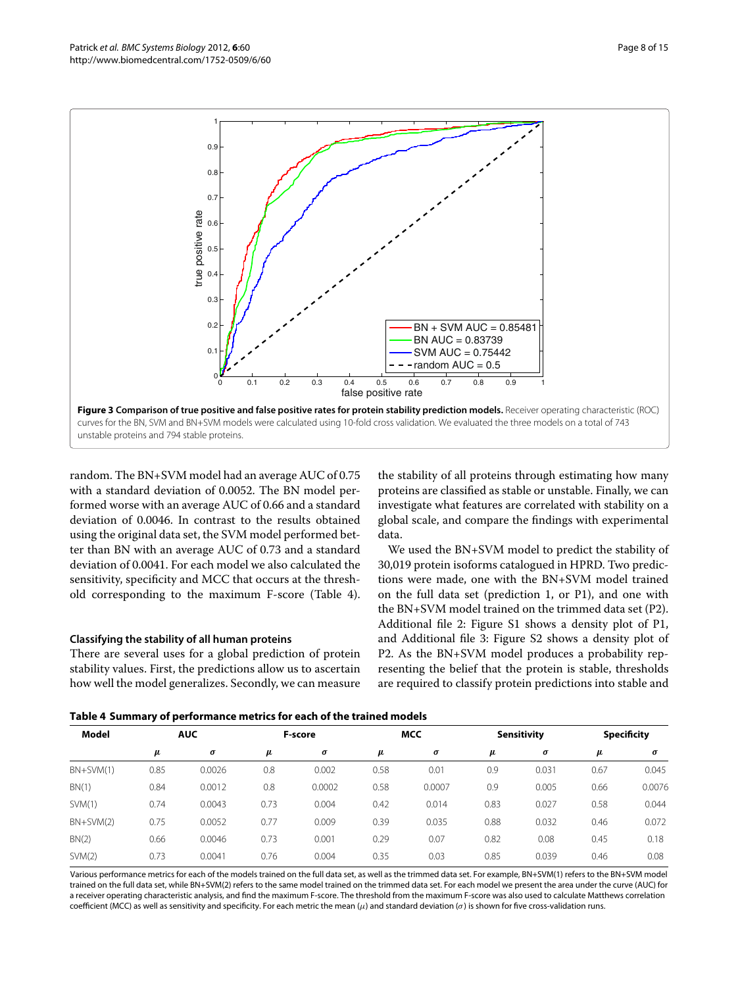

<span id="page-7-0"></span>random. The BN+SVM model had an average AUC of 0.75 with a standard deviation of 0.0052. The BN model performed worse with an average AUC of 0.66 and a standard deviation of 0.0046. In contrast to the results obtained using the original data set, the SVM model performed better than BN with an average AUC of 0.73 and a standard deviation of 0.0041. For each model we also calculated the sensitivity, specificity and MCC that occurs at the threshold corresponding to the maximum F-score (Table [4\)](#page-7-1).

#### **Classifying the stability of all human proteins**

There are several uses for a global prediction of protein stability values. First, the predictions allow us to ascertain how well the model generalizes. Secondly, we can measure the stability of all proteins through estimating how many proteins are classified as stable or unstable. Finally, we can investigate what features are correlated with stability on a global scale, and compare the findings with experimental data.

We used the BN+SVM model to predict the stability of 30,019 protein isoforms catalogued in HPRD. Two predictions were made, one with the BN+SVM model trained on the full data set (prediction 1, or P1), and one with the BN+SVM model trained on the trimmed data set (P2). Additional file [2:](#page-13-12) Figure S1 shows a density plot of P1, and Additional file [3:](#page-13-13) Figure S2 shows a density plot of P2. As the BN+SVM model produces a probability representing the belief that the protein is stable, thresholds are required to classify protein predictions into stable and



<span id="page-7-1"></span>

| Model       | <b>AUC</b> |          | F-score |        | <b>MCC</b> |        | <b>Sensitivity</b> |       | <b>Specificity</b> |        |
|-------------|------------|----------|---------|--------|------------|--------|--------------------|-------|--------------------|--------|
|             | μ          | $\sigma$ | μ       | σ      | μ          | σ      | μ                  | σ     | μ                  | σ      |
| $BN+SWM(1)$ | 0.85       | 0.0026   | 0.8     | 0.002  | 0.58       | 0.01   | 0.9                | 0.031 | 0.67               | 0.045  |
| BN(1)       | 0.84       | 0.0012   | 0.8     | 0.0002 | 0.58       | 0.0007 | 0.9                | 0.005 | 0.66               | 0.0076 |
| SVM(1)      | 0.74       | 0.0043   | 0.73    | 0.004  | 0.42       | 0.014  | 0.83               | 0.027 | 0.58               | 0.044  |
| $BN+SWM(2)$ | 0.75       | 0.0052   | 0.77    | 0.009  | 0.39       | 0.035  | 0.88               | 0.032 | 0.46               | 0.072  |
| BN(2)       | 0.66       | 0.0046   | 0.73    | 0.001  | 0.29       | 0.07   | 0.82               | 0.08  | 0.45               | 0.18   |
| SVM(2)      | 0.73       | 0.0041   | 0.76    | 0.004  | 0.35       | 0.03   | 0.85               | 0.039 | 0.46               | 0.08   |
|             |            |          |         |        |            |        |                    |       |                    |        |

Various performance metrics for each of the models trained on the full data set, as well as the trimmed data set. For example, BN+SVM(1) refers to the BN+SVM model trained on the full data set, while BN+SVM(2) refers to the same model trained on the trimmed data set. For each model we present the area under the curve (AUC) for a receiver operating characteristic analysis, and find the maximum F-score. The threshold from the maximum F-score was also used to calculate Matthews correlation coefficient (MCC) as well as sensitivity and specificity. For each metric the mean (*μ*) and standard deviation (*σ*) is shown for five cross-validation runs.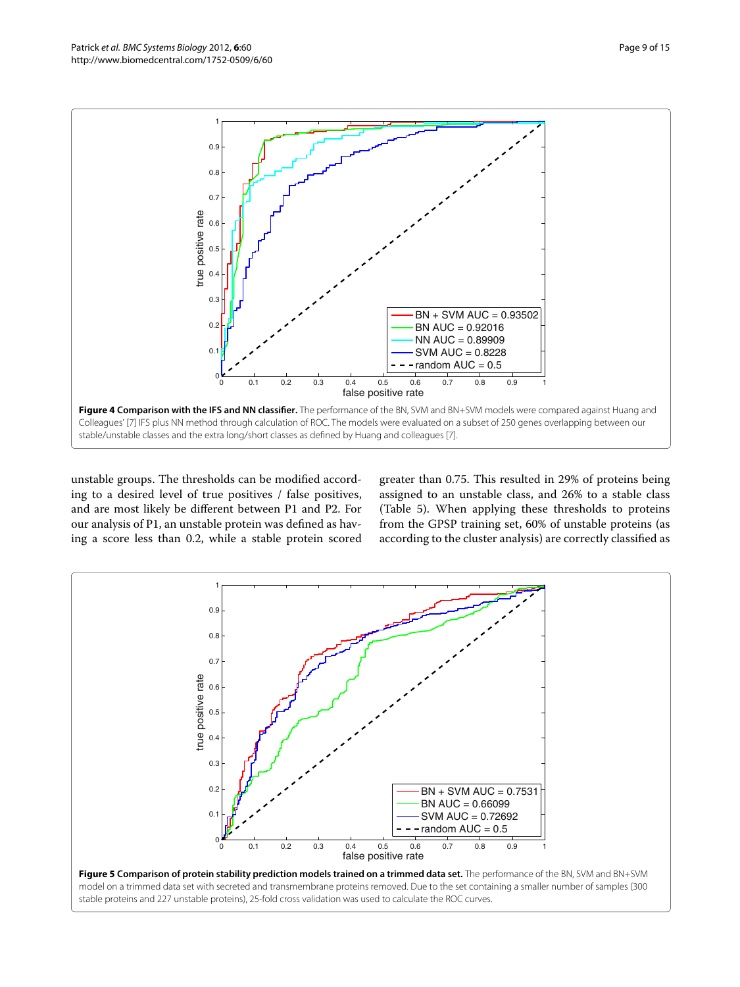

<span id="page-8-0"></span>unstable groups. The thresholds can be modified according to a desired level of true positives / false positives, and are most likely be different between P1 and P2. For our analysis of P1, an unstable protein was defined as having a score less than 0.2, while a stable protein scored greater than 0.75. This resulted in 29% of proteins being assigned to an unstable class, and 26% to a stable class (Table [5\)](#page-9-0). When applying these thresholds to proteins from the GPSP training set, 60% of unstable proteins (as according to the cluster analysis) are correctly classified as

<span id="page-8-1"></span>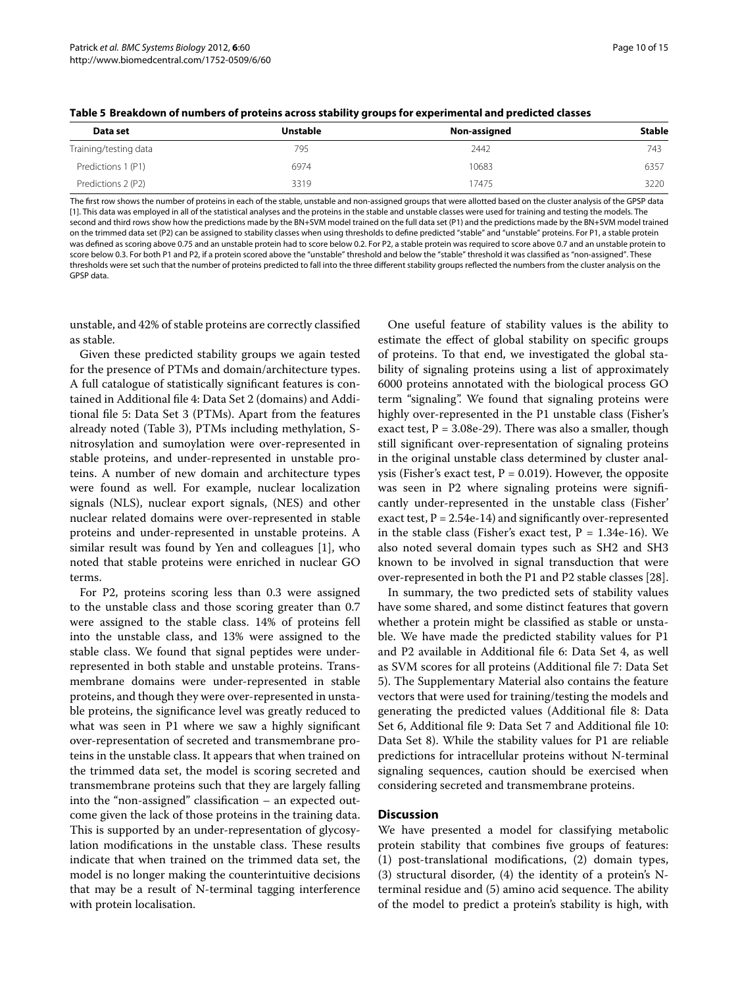<span id="page-9-0"></span>

| Table 5 Breakdown of numbers of proteins across stability groups for experimental and predicted classes |  |  |
|---------------------------------------------------------------------------------------------------------|--|--|
|                                                                                                         |  |  |

| Data set              | Unstable | Non-assigned | <b>Stable</b> |  |
|-----------------------|----------|--------------|---------------|--|
| Training/testing data | 795      | 2442         | 743           |  |
| Predictions 1 (P1)    | 6974     | 10683        | 6357          |  |
| Predictions 2 (P2)    | 3319     | 17475        | 3220          |  |

The first row shows the number of proteins in each of the stable, unstable and non-assigned groups that were allotted based on the cluster analysis of the GPSP data [\[1\]](#page-13-0). This data was employed in all of the statistical analyses and the proteins in the stable and unstable classes were used for training and testing the models. The second and third rows show how the predictions made by the BN+SVM model trained on the full data set (P1) and the predictions made by the BN+SVM model trained on the trimmed data set (P2) can be assigned to stability classes when using thresholds to define predicted "stable" and "unstable" proteins. For P1, a stable protein was defined as scoring above 0.75 and an unstable protein had to score below 0.2. For P2, a stable protein was required to score above 0.7 and an unstable protein to score below 0.3. For both P1 and P2, if a protein scored above the "unstable" threshold and below the "stable" threshold it was classified as "non-assigned". These thresholds were set such that the number of proteins predicted to fall into the three different stability groups reflected the numbers from the cluster analysis on the GPSP data.

unstable, and 42% of stable proteins are correctly classified as stable.

Given these predicted stability groups we again tested for the presence of PTMs and domain/architecture types. A full catalogue of statistically significant features is contained in Additional file [4:](#page-13-14) Data Set 2 (domains) and Additional file [5:](#page-13-15) Data Set 3 (PTMs). Apart from the features already noted (Table [3\)](#page-5-1), PTMs including methylation, Snitrosylation and sumoylation were over-represented in stable proteins, and under-represented in unstable proteins. A number of new domain and architecture types were found as well. For example, nuclear localization signals (NLS), nuclear export signals, (NES) and other nuclear related domains were over-represented in stable proteins and under-represented in unstable proteins. A similar result was found by Yen and colleagues [\[1\]](#page-13-0), who noted that stable proteins were enriched in nuclear GO terms.

For P2, proteins scoring less than 0.3 were assigned to the unstable class and those scoring greater than 0.7 were assigned to the stable class. 14% of proteins fell into the unstable class, and 13% were assigned to the stable class. We found that signal peptides were underrepresented in both stable and unstable proteins. Transmembrane domains were under-represented in stable proteins, and though they were over-represented in unstable proteins, the significance level was greatly reduced to what was seen in P1 where we saw a highly significant over-representation of secreted and transmembrane proteins in the unstable class. It appears that when trained on the trimmed data set, the model is scoring secreted and transmembrane proteins such that they are largely falling into the "non-assigned" classification – an expected outcome given the lack of those proteins in the training data. This is supported by an under-representation of glycosylation modifications in the unstable class. These results indicate that when trained on the trimmed data set, the model is no longer making the counterintuitive decisions that may be a result of N-terminal tagging interference with protein localisation.

One useful feature of stability values is the ability to estimate the effect of global stability on specific groups of proteins. To that end, we investigated the global stability of signaling proteins using a list of approximately 6000 proteins annotated with the biological process GO term "signaling". We found that signaling proteins were highly over-represented in the P1 unstable class (Fisher's exact test,  $P = 3.08e-29$ . There was also a smaller, though still significant over-representation of signaling proteins in the original unstable class determined by cluster analysis (Fisher's exact test,  $P = 0.019$ ). However, the opposite was seen in P2 where signaling proteins were significantly under-represented in the unstable class (Fisher' exact test,  $P = 2.54e-14$ ) and significantly over-represented in the stable class (Fisher's exact test,  $P = 1.34e-16$ ). We also noted several domain types such as SH2 and SH3 known to be involved in signal transduction that were over-represented in both the P1 and P2 stable classes [\[28\]](#page-14-16).

In summary, the two predicted sets of stability values have some shared, and some distinct features that govern whether a protein might be classified as stable or unstable. We have made the predicted stability values for P1 and P2 available in Additional file [6:](#page-13-16) Data Set 4, as well as SVM scores for all proteins (Additional file [7:](#page-13-17) Data Set 5). The Supplementary Material also contains the feature vectors that were used for training/testing the models and generating the predicted values (Additional file [8:](#page-13-18) Data Set 6, Additional file [9:](#page-13-19) Data Set 7 and Additional file [10:](#page-13-20) Data Set 8). While the stability values for P1 are reliable predictions for intracellular proteins without N-terminal signaling sequences, caution should be exercised when considering secreted and transmembrane proteins.

#### **Discussion**

We have presented a model for classifying metabolic protein stability that combines five groups of features: (1) post-translational modifications, (2) domain types, (3) structural disorder, (4) the identity of a protein's Nterminal residue and (5) amino acid sequence. The ability of the model to predict a protein's stability is high, with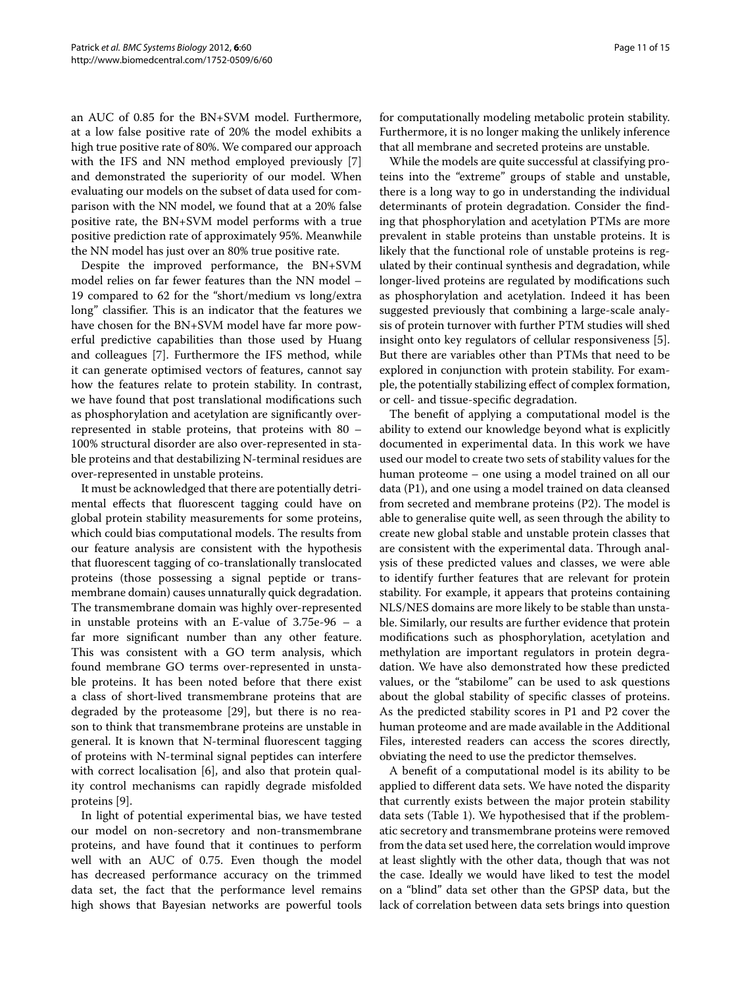an AUC of 0.85 for the BN+SVM model. Furthermore, at a low false positive rate of 20% the model exhibits a high true positive rate of 80%. We compared our approach with the IFS and NN method employed previously [\[7\]](#page-13-6) and demonstrated the superiority of our model. When evaluating our models on the subset of data used for comparison with the NN model, we found that at a 20% false positive rate, the BN+SVM model performs with a true positive prediction rate of approximately 95%. Meanwhile the NN model has just over an 80% true positive rate.

Despite the improved performance, the BN+SVM model relies on far fewer features than the NN model – 19 compared to 62 for the "short/medium vs long/extra long" classifier. This is an indicator that the features we have chosen for the BN+SVM model have far more powerful predictive capabilities than those used by Huang and colleagues [\[7\]](#page-13-6). Furthermore the IFS method, while it can generate optimised vectors of features, cannot say how the features relate to protein stability. In contrast, we have found that post translational modifications such as phosphorylation and acetylation are significantly overrepresented in stable proteins, that proteins with 80 – 100% structural disorder are also over-represented in stable proteins and that destabilizing N-terminal residues are over-represented in unstable proteins.

It must be acknowledged that there are potentially detrimental effects that fluorescent tagging could have on global protein stability measurements for some proteins, which could bias computational models. The results from our feature analysis are consistent with the hypothesis that fluorescent tagging of co-translationally translocated proteins (those possessing a signal peptide or transmembrane domain) causes unnaturally quick degradation. The transmembrane domain was highly over-represented in unstable proteins with an E-value of 3.75e-96 – a far more significant number than any other feature. This was consistent with a GO term analysis, which found membrane GO terms over-represented in unstable proteins. It has been noted before that there exist a class of short-lived transmembrane proteins that are degraded by the proteasome [\[29\]](#page-14-17), but there is no reason to think that transmembrane proteins are unstable in general. It is known that N-terminal fluorescent tagging of proteins with N-terminal signal peptides can interfere with correct localisation [\[6\]](#page-13-5), and also that protein quality control mechanisms can rapidly degrade misfolded proteins [\[9\]](#page-13-8).

In light of potential experimental bias, we have tested our model on non-secretory and non-transmembrane proteins, and have found that it continues to perform well with an AUC of 0.75. Even though the model has decreased performance accuracy on the trimmed data set, the fact that the performance level remains high shows that Bayesian networks are powerful tools

for computationally modeling metabolic protein stability. Furthermore, it is no longer making the unlikely inference that all membrane and secreted proteins are unstable.

While the models are quite successful at classifying proteins into the "extreme" groups of stable and unstable, there is a long way to go in understanding the individual determinants of protein degradation. Consider the finding that phosphorylation and acetylation PTMs are more prevalent in stable proteins than unstable proteins. It is likely that the functional role of unstable proteins is regulated by their continual synthesis and degradation, while longer-lived proteins are regulated by modifications such as phosphorylation and acetylation. Indeed it has been suggested previously that combining a large-scale analysis of protein turnover with further PTM studies will shed insight onto key regulators of cellular responsiveness [\[5\]](#page-13-4). But there are variables other than PTMs that need to be explored in conjunction with protein stability. For example, the potentially stabilizing effect of complex formation, or cell- and tissue-specific degradation.

The benefit of applying a computational model is the ability to extend our knowledge beyond what is explicitly documented in experimental data. In this work we have used our model to create two sets of stability values for the human proteome – one using a model trained on all our data (P1), and one using a model trained on data cleansed from secreted and membrane proteins (P2). The model is able to generalise quite well, as seen through the ability to create new global stable and unstable protein classes that are consistent with the experimental data. Through analysis of these predicted values and classes, we were able to identify further features that are relevant for protein stability. For example, it appears that proteins containing NLS/NES domains are more likely to be stable than unstable. Similarly, our results are further evidence that protein modifications such as phosphorylation, acetylation and methylation are important regulators in protein degradation. We have also demonstrated how these predicted values, or the "stabilome" can be used to ask questions about the global stability of specific classes of proteins. As the predicted stability scores in P1 and P2 cover the human proteome and are made available in the Additional Files, interested readers can access the scores directly, obviating the need to use the predictor themselves.

A benefit of a computational model is its ability to be applied to different data sets. We have noted the disparity that currently exists between the major protein stability data sets (Table [1\)](#page-3-0). We hypothesised that if the problematic secretory and transmembrane proteins were removed from the data set used here, the correlation would improve at least slightly with the other data, though that was not the case. Ideally we would have liked to test the model on a "blind" data set other than the GPSP data, but the lack of correlation between data sets brings into question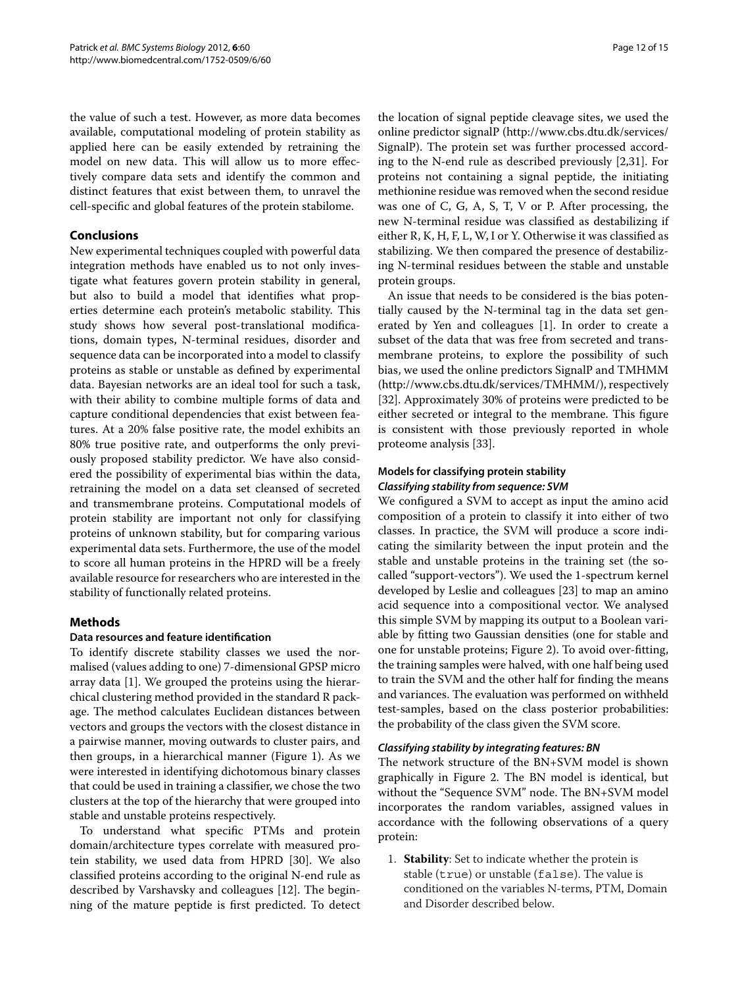the value of such a test. However, as more data becomes available, computational modeling of protein stability as applied here can be easily extended by retraining the model on new data. This will allow us to more effectively compare data sets and identify the common and distinct features that exist between them, to unravel the cell-specific and global features of the protein stabilome.

#### **Conclusions**

New experimental techniques coupled with powerful data integration methods have enabled us to not only investigate what features govern protein stability in general, but also to build a model that identifies what properties determine each protein's metabolic stability. This study shows how several post-translational modifications, domain types, N-terminal residues, disorder and sequence data can be incorporated into a model to classify proteins as stable or unstable as defined by experimental data. Bayesian networks are an ideal tool for such a task, with their ability to combine multiple forms of data and capture conditional dependencies that exist between features. At a 20% false positive rate, the model exhibits an 80% true positive rate, and outperforms the only previously proposed stability predictor. We have also considered the possibility of experimental bias within the data, retraining the model on a data set cleansed of secreted and transmembrane proteins. Computational models of protein stability are important not only for classifying proteins of unknown stability, but for comparing various experimental data sets. Furthermore, the use of the model to score all human proteins in the HPRD will be a freely available resource for researchers who are interested in the stability of functionally related proteins.

#### **Methods**

#### **Data resources and feature identification**

To identify discrete stability classes we used the normalised (values adding to one) 7-dimensional GPSP micro array data [\[1\]](#page-13-0). We grouped the proteins using the hierarchical clustering method provided in the standard R package. The method calculates Euclidean distances between vectors and groups the vectors with the closest distance in a pairwise manner, moving outwards to cluster pairs, and then groups, in a hierarchical manner (Figure [1\)](#page-4-0). As we were interested in identifying dichotomous binary classes that could be used in training a classifier, we chose the two clusters at the top of the hierarchy that were grouped into stable and unstable proteins respectively.

To understand what specific PTMs and protein domain/architecture types correlate with measured protein stability, we used data from HPRD [\[30\]](#page-14-18). We also classified proteins according to the original N-end rule as described by Varshavsky and colleagues [\[12\]](#page-14-0). The beginning of the mature peptide is first predicted. To detect the location of signal peptide cleavage sites, we used the online predictor signalP [\(http://www.cbs.dtu.dk/services/](http://www.cbs.dtu.dk/services/SignalP) [SignalP\)](http://www.cbs.dtu.dk/services/SignalP). The protein set was further processed according to the N-end rule as described previously [\[2,](#page-13-2)[31\]](#page-14-19). For proteins not containing a signal peptide, the initiating methionine residue was removed when the second residue was one of C, G, A, S, T, V or P. After processing, the new N-terminal residue was classified as destabilizing if either R, K, H, F, L, W, I or Y. Otherwise it was classified as stabilizing. We then compared the presence of destabilizing N-terminal residues between the stable and unstable protein groups.

An issue that needs to be considered is the bias potentially caused by the N-terminal tag in the data set generated by Yen and colleagues [\[1\]](#page-13-0). In order to create a subset of the data that was free from secreted and transmembrane proteins, to explore the possibility of such bias, we used the online predictors SignalP and TMHMM [\(http://www.cbs.dtu.dk/services/TMHMM/\)](http://www.cbs.dtu.dk/services/TMHMM/), respectively [\[32\]](#page-14-20). Approximately 30% of proteins were predicted to be either secreted or integral to the membrane. This figure is consistent with those previously reported in whole proteome analysis [\[33\]](#page-14-21).

#### **Models for classifying protein stability** *Classifying stability from sequence: SVM*

We configured a SVM to accept as input the amino acid composition of a protein to classify it into either of two classes. In practice, the SVM will produce a score indicating the similarity between the input protein and the stable and unstable proteins in the training set (the socalled "support-vectors"). We used the 1-spectrum kernel developed by Leslie and colleagues [\[23\]](#page-14-11) to map an amino acid sequence into a compositional vector. We analysed this simple SVM by mapping its output to a Boolean variable by fitting two Gaussian densities (one for stable and one for unstable proteins; Figure [2\)](#page-6-0). To avoid over-fitting, the training samples were halved, with one half being used to train the SVM and the other half for finding the means and variances. The evaluation was performed on withheld test-samples, based on the class posterior probabilities: the probability of the class given the SVM score.

#### *Classifying stability by integrating features: BN*

The network structure of the BN+SVM model is shown graphically in Figure [2.](#page-6-0) The BN model is identical, but without the "Sequence SVM" node. The BN+SVM model incorporates the random variables, assigned values in accordance with the following observations of a query protein:

1. **Stability**: Set to indicate whether the protein is stable (true) or unstable (false). The value is conditioned on the variables N-terms, PTM, Domain and Disorder described below.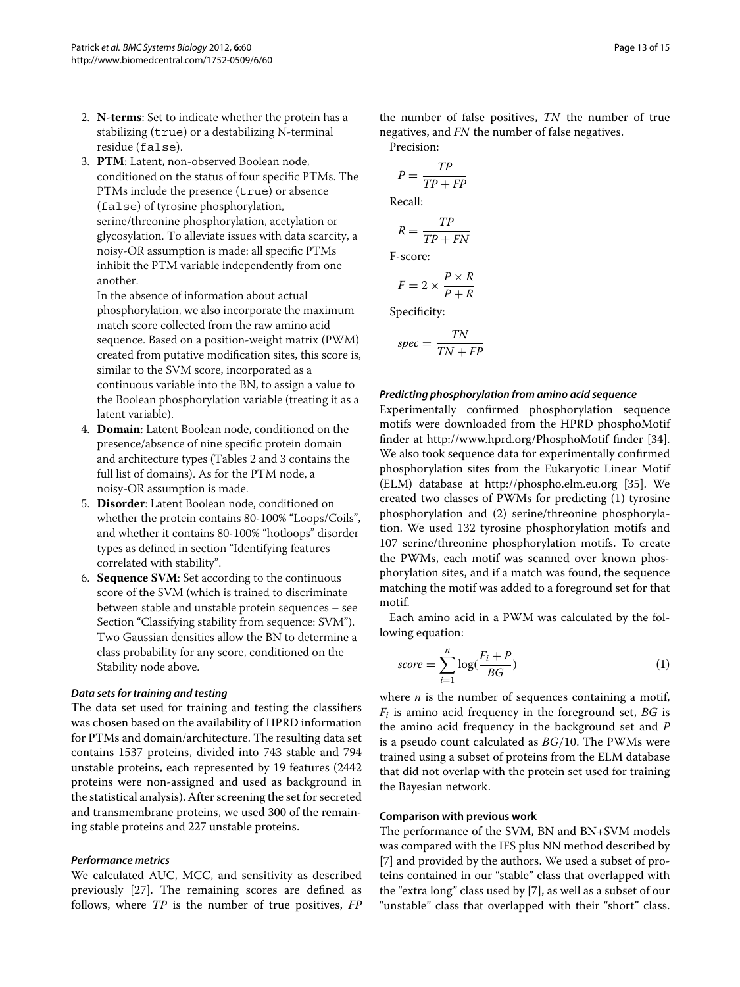- 2. **N-terms**: Set to indicate whether the protein has a stabilizing (true) or a destabilizing N-terminal residue (false).
- 3. **PTM**: Latent, non-observed Boolean node, conditioned on the status of four specific PTMs. The PTMs include the presence (true) or absence (false) of tyrosine phosphorylation, serine/threonine phosphorylation, acetylation or glycosylation. To alleviate issues with data scarcity, a noisy-OR assumption is made: all specific PTMs inhibit the PTM variable independently from one another.

In the absence of information about actual phosphorylation, we also incorporate the maximum match score collected from the raw amino acid sequence. Based on a position-weight matrix (PWM) created from putative modification sites, this score is, similar to the SVM score, incorporated as a continuous variable into the BN, to assign a value to the Boolean phosphorylation variable (treating it as a latent variable).

- 4. **Domain**: Latent Boolean node, conditioned on the presence/absence of nine specific protein domain and architecture types (Tables [2](#page-5-0) and [3](#page-5-1) contains the full list of domains). As for the PTM node, a noisy-OR assumption is made.
- 5. **Disorder**: Latent Boolean node, conditioned on whether the protein contains 80-100% "Loops/Coils", and whether it contains 80-100% "hotloops" disorder types as defined in section "Identifying features correlated with stability".
- 6. **Sequence SVM**: Set according to the continuous score of the SVM (which is trained to discriminate between stable and unstable protein sequences – see Section "Classifying stability from sequence: SVM"). Two Gaussian densities allow the BN to determine a class probability for any score, conditioned on the Stability node above.

#### *Data sets for training and testing*

The data set used for training and testing the classifiers was chosen based on the availability of HPRD information for PTMs and domain/architecture. The resulting data set contains 1537 proteins, divided into 743 stable and 794 unstable proteins, each represented by 19 features (2442 proteins were non-assigned and used as background in the statistical analysis). After screening the set for secreted and transmembrane proteins, we used 300 of the remaining stable proteins and 227 unstable proteins.

#### *Performance metrics*

We calculated AUC, MCC, and sensitivity as described previously [\[27\]](#page-14-15). The remaining scores are defined as follows, where *TP* is the number of true positives, *FP* the number of false positives, *TN* the number of true negatives, and *FN* the number of false negatives. Precision:

$$
P = \frac{TP}{TP + FP}
$$

Recall:

$$
R = \frac{TP}{TP + FN}
$$

F-score:

$$
F = 2 \times \frac{P \times R}{P + R}
$$

Specificity:

$$
spec = \frac{TN}{TN + FP}
$$

#### *Predicting phosphorylation from amino acid sequence*

Experimentally confirmed phosphorylation sequence motifs were downloaded from the HPRD phosphoMotif finder at [http://www.hprd.org/PhosphoMotif](http://www.hprd.org/PhosphoMotif_finder) finder [\[34\]](#page-14-22). We also took sequence data for experimentally confirmed phosphorylation sites from the Eukaryotic Linear Motif (ELM) database at<http://phospho.elm.eu.org> [\[35\]](#page-14-23). We created two classes of PWMs for predicting (1) tyrosine phosphorylation and (2) serine/threonine phosphorylation. We used 132 tyrosine phosphorylation motifs and 107 serine/threonine phosphorylation motifs. To create the PWMs, each motif was scanned over known phosphorylation sites, and if a match was found, the sequence matching the motif was added to a foreground set for that motif.

Each amino acid in a PWM was calculated by the following equation:

$$
score = \sum_{i=1}^{n} \log(\frac{F_i + P}{BG})
$$
\n(1)

where  $n$  is the number of sequences containing a motif,  $F_i$  is amino acid frequency in the foreground set, *BG* is the amino acid frequency in the background set and *P* is a pseudo count calculated as *BG/*10. The PWMs were trained using a subset of proteins from the ELM database that did not overlap with the protein set used for training the Bayesian network.

#### **Comparison with previous work**

The performance of the SVM, BN and BN+SVM models was compared with the IFS plus NN method described by [\[7\]](#page-13-6) and provided by the authors. We used a subset of proteins contained in our "stable" class that overlapped with the "extra long" class used by [\[7\]](#page-13-6), as well as a subset of our "unstable" class that overlapped with their "short" class.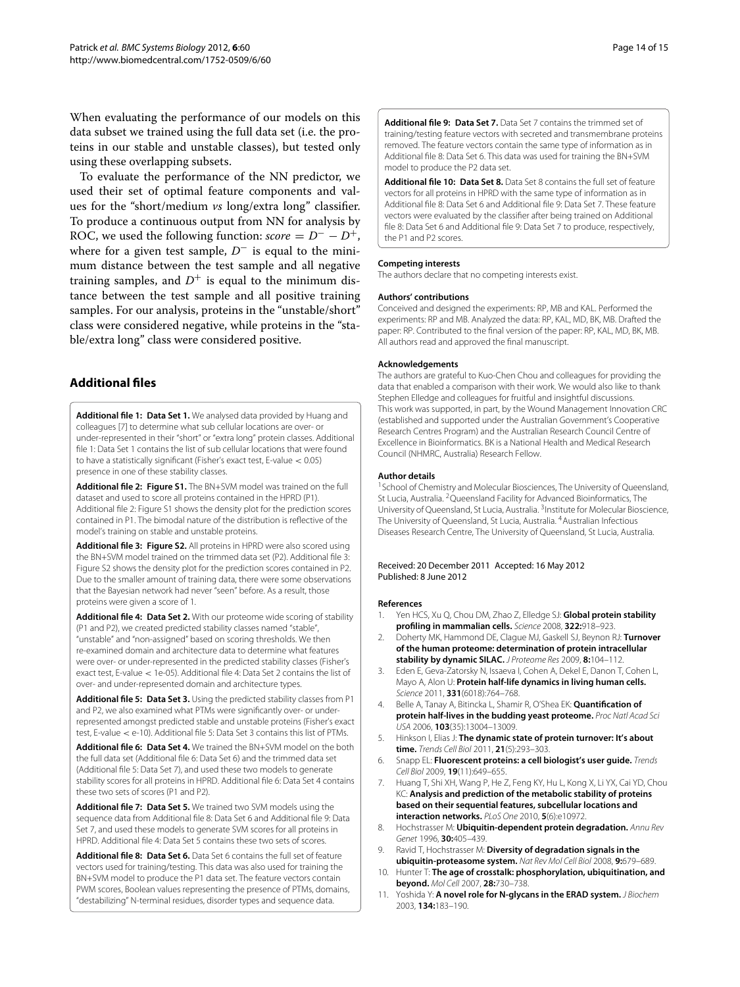When evaluating the performance of our models on this data subset we trained using the full data set (i.e. the proteins in our stable and unstable classes), but tested only using these overlapping subsets.

To evaluate the performance of the NN predictor, we used their set of optimal feature components and values for the "short/medium *vs* long/extra long" classifier. To produce a continuous output from NN for analysis by ROC, we used the following function:  $score = D^{-} - D^{+}$ , where for a given test sample, *D*− is equal to the minimum distance between the test sample and all negative training samples, and  $D^+$  is equal to the minimum distance between the test sample and all positive training samples. For our analysis, proteins in the "unstable/short" class were considered negative, while proteins in the "stable/extra long" class were considered positive.

#### **Additional files**

<span id="page-13-11"></span>**[Additional file 1:](http://www.biomedcentral.com/content/supplementary/10.1186/1752-0509-6-60-S1.txt) Data Set 1.** We analysed data provided by Huang and colleagues [\[7\]](#page-13-6) to determine what sub cellular locations are over- or under-represented in their "short" or "extra long" protein classes. Additional file [1:](#page-13-11) Data Set 1 contains the list of sub cellular locations that were found to have a statistically significant (Fisher's exact test, E-value *<* 0.05) presence in one of these stability classes.

<span id="page-13-12"></span>**[Additional file 2:](http://www.biomedcentral.com/content/supplementary/10.1186/1752-0509-6-60-S2.pdf) Figure S1.** The BN+SVM model was trained on the full dataset and used to score all proteins contained in the HPRD (P1). Additional file [2:](#page-13-12) Figure S1 shows the density plot for the prediction scores contained in P1. The bimodal nature of the distribution is reflective of the model's training on stable and unstable proteins.

<span id="page-13-13"></span>**[Additional file 3:](http://www.biomedcentral.com/content/supplementary/10.1186/1752-0509-6-60-S3.pdf) Figure S2.** All proteins in HPRD were also scored using the BN+SVM model trained on the trimmed data set (P2). Additional file [3:](#page-13-13) Figure S2 shows the density plot for the prediction scores contained in P2. Due to the smaller amount of training data, there were some observations that the Bayesian network had never "seen" before. As a result, those proteins were given a score of 1.

<span id="page-13-14"></span>**[Additional file 4:](http://www.biomedcentral.com/content/supplementary/10.1186/1752-0509-6-60-S4.txt) Data Set 2.** With our proteome wide scoring of stability (P1 and P2), we created predicted stability classes named "stable", "unstable" and "non-assigned" based on scoring thresholds. We then re-examined domain and architecture data to determine what features were over- or under-represented in the predicted stability classes (Fisher's exact test, E-value *<* 1e-05). Additional file [4:](#page-13-14) Data Set 2 contains the list of over- and under-represented domain and architecture types.

<span id="page-13-15"></span>**[Additional file 5:](http://www.biomedcentral.com/content/supplementary/10.1186/1752-0509-6-60-S5.txt) Data Set 3.** Using the predicted stability classes from P1 and P2, we also examined what PTMs were significantly over- or underrepresented amongst predicted stable and unstable proteins (Fisher's exact test, E-value *<* e-10). Additional file [5:](#page-13-15) Data Set 3 contains this list of PTMs.

<span id="page-13-16"></span>**[Additional file 6:](http://www.biomedcentral.com/content/supplementary/10.1186/1752-0509-6-60-S6.txt) Data Set 4.** We trained the BN+SVM model on the both the full data set (Additional file [6:](#page-13-16) Data Set 6) and the trimmed data set (Additional file [5:](#page-13-15) Data Set 7), and used these two models to generate stability scores for all proteins in HPRD. Additional file [6:](#page-13-16) Data Set 4 contains these two sets of scores (P1 and P2).

<span id="page-13-17"></span>**[Additional file 7:](http://www.biomedcentral.com/content/supplementary/10.1186/1752-0509-6-60-S7.txt) Data Set 5.** We trained two SVM models using the sequence data from Additional file [8:](#page-13-18) Data Set 6 and Additional file [9:](#page-13-19) Data Set 7, and used these models to generate SVM scores for all proteins in HPRD. Additional file [4:](#page-13-14) Data Set 5 contains these two sets of scores.

<span id="page-13-18"></span>**[Additional file 8:](http://www.biomedcentral.com/content/supplementary/10.1186/1752-0509-6-60-S8.txt) Data Set 6.** Data Set 6 contains the full set of feature vectors used for training/testing. This data was also used for training the BN+SVM model to produce the P1 data set. The feature vectors contain PWM scores, Boolean values representing the presence of PTMs, domains, "destabilizing" N-terminal residues, disorder types and sequence data.

<span id="page-13-19"></span>**[Additional file 9:](http://www.biomedcentral.com/content/supplementary/10.1186/1752-0509-6-60-S9.zip) Data Set 7.** Data Set 7 contains the trimmed set of training/testing feature vectors with secreted and transmembrane proteins removed. The feature vectors contain the same type of information as in Additional file [8:](#page-13-18) Data Set 6. This data was used for training the BN+SVM model to produce the P2 data set.

<span id="page-13-20"></span>**[Additional file 10:](http://www.biomedcentral.com/content/supplementary/10.1186/1752-0509-6-60-S10.zip) Data Set 8.** Data Set 8 contains the full set of feature vectors for all proteins in HPRD with the same type of information as in Additional file [8:](#page-13-18) Data Set 6 and Additional file [9:](#page-13-19) Data Set 7. These feature vectors were evaluated by the classifier after being trained on Additional file [8:](#page-13-18) Data Set 6 and Additional file [9:](#page-13-19) Data Set 7 to produce, respectively, the P1 and P2 scores.

#### **Competing interests**

The authors declare that no competing interests exist.

#### **Authors' contributions**

Conceived and designed the experiments: RP, MB and KAL. Performed the experiments: RP and MB. Analyzed the data: RP, KAL, MD, BK, MB. Drafted the paper: RP. Contributed to the final version of the paper: RP, KAL, MD, BK, MB. All authors read and approved the final manuscript.

#### **Acknowledgements**

The authors are grateful to Kuo-Chen Chou and colleagues for providing the data that enabled a comparison with their work. We would also like to thank Stephen Elledge and colleagues for fruitful and insightful discussions. This work was supported, in part, by the Wound Management Innovation CRC (established and supported under the Australian Government's Cooperative Research Centres Program) and the Australian Research Council Centre of Excellence in Bioinformatics. BK is a National Health and Medical Research Council (NHMRC, Australia) Research Fellow.

#### **Author details**

<sup>1</sup> School of Chemistry and Molecular Biosciences, The University of Queensland, St Lucia, Australia. 2Queensland Facility for Advanced Bioinformatics, The University of Queensland, St Lucia, Australia.<sup>3</sup> Institute for Molecular Bioscience, The University of Queensland, St Lucia, Australia. 4Australian Infectious Diseases Research Centre, The University of Queensland, St Lucia, Australia.

#### Received: 20 December 2011 Accepted: 16 May 2012 Published: 8 June 2012

#### **References**

- <span id="page-13-0"></span>1. Yen HCS, Xu Q, Chou DM, Zhao Z, Elledge SJ: **Global protein stability profiling in mammalian cells.** Science 2008, **322:**918–923.
- <span id="page-13-2"></span>2. Doherty MK, Hammond DE, Clague MJ, Gaskell SJ, Beynon RJ: **Turnover of the human proteome: determination of protein intracellular stability by dynamic SILAC.** J Proteome Res 2009, **8:**104–112.
- <span id="page-13-1"></span>3. Eden E, Geva-Zatorsky N, Issaeva I, Cohen A, Dekel E, Danon T, Cohen L, Mayo A, Alon U: **Protein half-life dynamics in living human cells.** Science 2011, **331**(6018):764–768.
- <span id="page-13-3"></span>4. Belle A, Tanay A, Bitincka L, Shamir R, O'Shea EK: **Quantification of protein half-lives in the budding yeast proteome.** Proc Natl Acad Sci USA 2006, **103**(35):13004–13009.
- <span id="page-13-4"></span>5. Hinkson I, Elias J: **The dynamic state of protein turnover: It's about time.** Trends Cell Biol 2011, **21**(5):293–303.
- <span id="page-13-5"></span>6. Snapp EL: **Fluorescent proteins: a cell biologist's user guide.** Trends Cell Biol 2009, **19**(11):649–655.
- <span id="page-13-6"></span>7. Huang T, Shi XH, Wang P, He Z, Feng KY, Hu L, Kong X, Li YX, Cai YD, Chou KC: **Analysis and prediction of the metabolic stability of proteins based on their sequential features, subcellular locations and interaction networks.** PLoS One 2010, **5**(6):e10972.
- <span id="page-13-7"></span>8. Hochstrasser M: **Ubiquitin-dependent protein degradation.** Annu Rev Genet 1996, **30:**405–439.
- <span id="page-13-8"></span>9. Ravid T, Hochstrasser M: **Diversity of degradation signals in the ubiquitin-proteasome system.** Nat Rev Mol Cell Biol 2008, **9:**679–689.
- <span id="page-13-9"></span>10. Hunter T: **The age of crosstalk: phosphorylation, ubiquitination, and beyond.** Mol Cell 2007, **28:**730–738.
- <span id="page-13-10"></span>11. Yoshida Y: A novel role for N-glycans in the ERAD system. J Biochem 2003, **134:**183–190.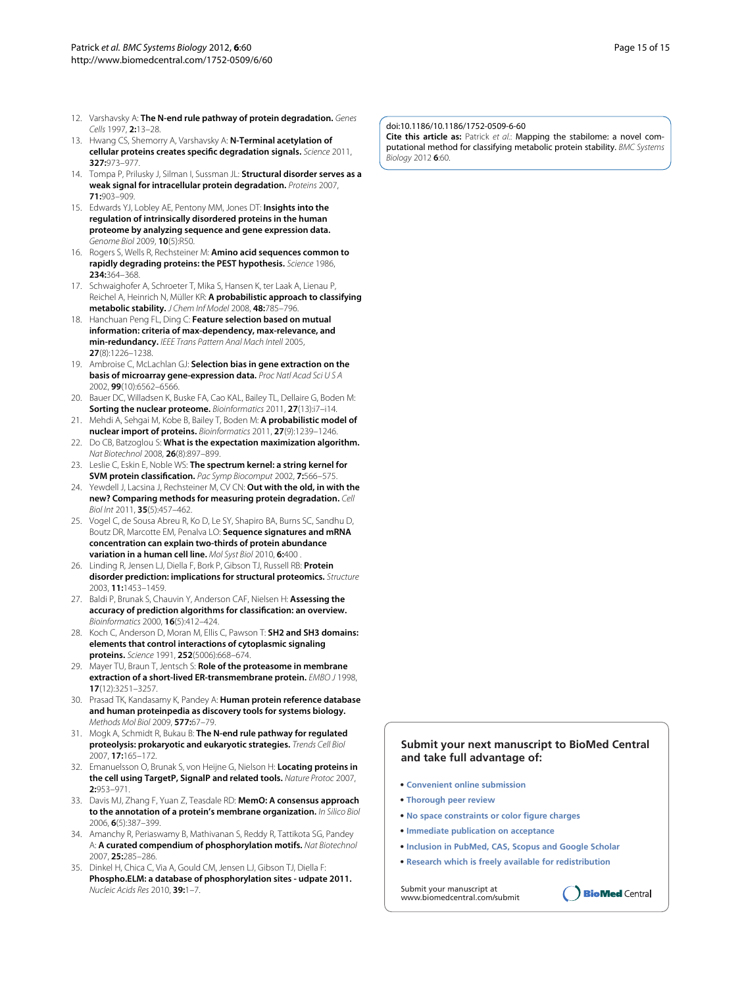- <span id="page-14-0"></span>12. Varshavsky A: The N-end rule pathway of protein degradation. Genes Cells 1997, **2:**13–28.
- <span id="page-14-1"></span>13. Hwang CS, Shemorry A, Varshavsky A: **N-Terminal acetylation of cellular proteins creates specific degradation signals.** Science 2011, **327:**973–977.
- <span id="page-14-2"></span>14. Tompa P, Prilusky J, Silman I, Sussman JL: **Structural disorder serves as a weak signal for intracellular protein degradation.** Proteins 2007, **71:**903–909.
- <span id="page-14-3"></span>15. Edwards YJ, Lobley AE, Pentony MM, Jones DT: **Insights into the regulation of intrinsically disordered proteins in the human proteome by analyzing sequence and gene expression data.** Genome Biol 2009, **10**(5):R50.
- <span id="page-14-4"></span>16. Rogers S, Wells R, Rechsteiner M: **Amino acid sequences common to rapidly degrading proteins: the PEST hypothesis.** Science 1986, **234:**364–368.
- <span id="page-14-5"></span>17. Schwaighofer A, Schroeter T, Mika S, Hansen K, ter Laak A, Lienau P, Reichel A, Heinrich N, Müller KR: **A probabilistic approach to classifying metabolic stability.** J Chem Inf Model 2008, **48:**785–796.
- <span id="page-14-6"></span>18. Hanchuan Peng FL, Ding C: **Feature selection based on mutual information: criteria of max-dependency, max-relevance, and min-redundancy.** IEEE Trans Pattern Anal Mach Intell 2005, **27**(8):1226–1238.
- <span id="page-14-7"></span>19. Ambroise C, McLachlan GJ: **Selection bias in gene extraction on the basis of microarray gene-expression data.** Proc Natl Acad Sci U S A 2002, **99**(10):6562–6566.
- <span id="page-14-8"></span>20. Bauer DC, Willadsen K, Buske FA, Cao KAL, Bailey TL, Dellaire G, Boden M: **Sorting the nuclear proteome.** Bioinformatics 2011, **27**(13):i7–i14.
- <span id="page-14-9"></span>21. Mehdi A, Sehgai M, Kobe B, Bailey T, Boden M: **A probabilistic model of nuclear import of proteins.** Bioinformatics 2011, **27**(9):1239–1246.
- <span id="page-14-10"></span>22. Do CB, Batzoglou S: **What is the expectation maximization algorithm.** Nat Biotechnol 2008, **26**(8):897–899.
- <span id="page-14-11"></span>23. Leslie C, Eskin E, Noble WS: **The spectrum kernel: a string kernel for SVM protein classification.** Pac Symp Biocomput 2002, **7:**566–575.
- <span id="page-14-12"></span>24. Yewdell J, Lacsina J, Rechsteiner M, CV CN: **Out with the old, in with the new? Comparing methods for measuring protein degradation.** Cell Biol Int 2011, **35**(5):457–462.
- <span id="page-14-13"></span>25. Vogel C, de Sousa Abreu R, Ko D, Le SY, Shapiro BA, Burns SC, Sandhu D, Boutz DR, Marcotte EM, Penalva LO: **Sequence signatures and mRNA concentration can explain two-thirds of protein abundance variation in a human cell line.** Mol Syst Biol 2010, **6:**400 .
- <span id="page-14-14"></span>26. Linding R, Jensen LJ, Diella F, Bork P, Gibson TJ, Russell RB: **Protein disorder prediction: implications for structural proteomics.** Structure 2003, **11:**1453–1459.
- <span id="page-14-15"></span>27. Baldi P, Brunak S, Chauvin Y, Anderson CAF, Nielsen H: **Assessing the accuracy of prediction algorithms for classification: an overview.** Bioinformatics 2000, **16**(5):412–424.
- <span id="page-14-16"></span>28. Koch C, Anderson D, Moran M, Ellis C, Pawson T: **SH2 and SH3 domains: elements that control interactions of cytoplasmic signaling proteins.** Science 1991, **252**(5006):668–674.
- <span id="page-14-17"></span>29. Mayer TU, Braun T, Jentsch S: **Role of the proteasome in membrane extraction of a short-lived ER-transmembrane protein.** EMBO J 1998, **17**(12):3251–3257.
- <span id="page-14-18"></span>30. Prasad TK, Kandasamy K, Pandey A: **Human protein reference database and human proteinpedia as discovery tools for systems biology.** Methods Mol Biol 2009, **577:**67–79.
- <span id="page-14-19"></span>31. Mogk A, Schmidt R, Bukau B: **The N-end rule pathway for regulated proteolysis: prokaryotic and eukaryotic strategies.** Trends Cell Biol 2007, **17:**165–172.
- <span id="page-14-20"></span>32. Emanuelsson O, Brunak S, von Heijne G, Nielson H: **Locating proteins in the cell using TargetP, SignalP and related tools.** Nature Protoc 2007, **2:**953–971.
- <span id="page-14-21"></span>33. Davis MJ, Zhang F, Yuan Z, Teasdale RD: **MemO: A consensus approach to the annotation of a protein's membrane organization.** In Silico Biol 2006, **6**(5):387–399.
- <span id="page-14-22"></span>34. Amanchy R, Periaswamy B, Mathivanan S, Reddy R, Tattikota SG, Pandey A: **A curated compendium of phosphorylation motifs.** Nat Biotechnol 2007, **25:**285–286.
- <span id="page-14-23"></span>35. Dinkel H, Chica C, Via A, Gould CM, Jensen LJ, Gibson TJ, Diella F: **Phospho.ELM: a database of phosphorylation sites - udpate 2011.** Nucleic Acids Res 2010, **39:**1–7.

doi:10.1186/10.1186/1752-0509-6-60

**Cite this article as:** Patrick et al.: Mapping the stabilome: a novel computational method for classifying metabolic protein stability. BMC Systems Biology 2012 **6**:60.

#### **Submit your next manuscript to BioMed Central and take full advantage of:**

- **Convenient online submission**
- **Thorough peer review**
- **No space constraints or color figure charges**
- **Immediate publication on acceptance**
- **Inclusion in PubMed, CAS, Scopus and Google Scholar**
- **Research which is freely available for redistribution**

Submit your manuscript at www.biomedcentral.com/submit

**BioMed Central**